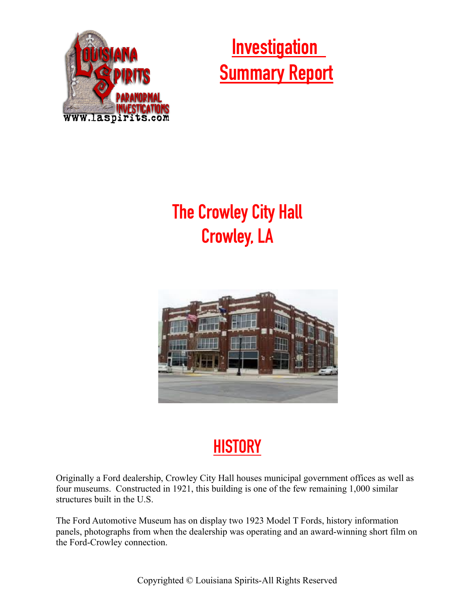

## **Investigation Summary Report**

## **The Crowley City Hall Crowley, LA**



## **HISTORY**

Originally a Ford dealership, Crowley City Hall houses municipal government offices as well as four museums. Constructed in 1921, this building is one of the few remaining 1,000 similar structures built in the U.S.

The Ford Automotive Museum has on display two 1923 Model T Fords, history information panels, photographs from when the dealership was operating and an award-winning short film on the Ford-Crowley connection.